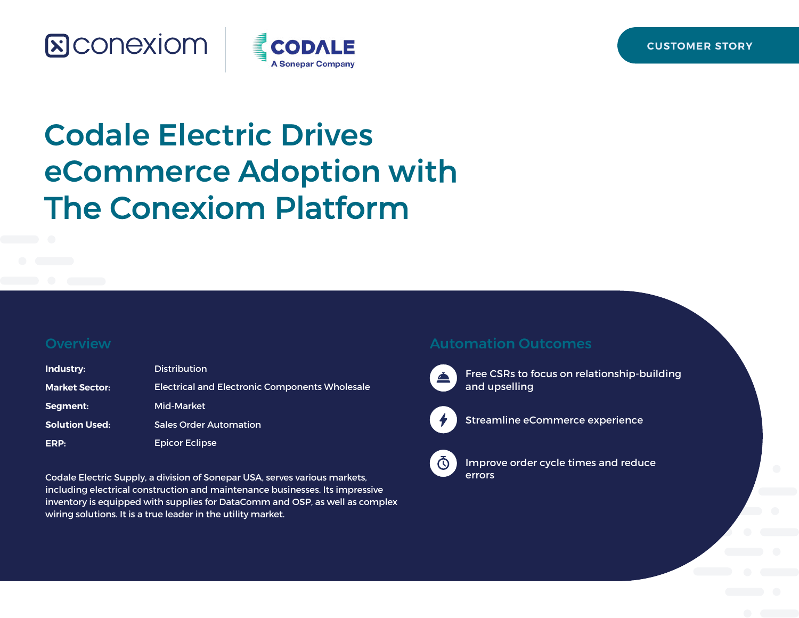## **&CONEXIOM**



# Codale Electric Drives eCommerce Adoption with The Conexiom Platform

#### **Overview**

| Industry:             | <b>Distribution</b>                                   |
|-----------------------|-------------------------------------------------------|
| <b>Market Sector:</b> | <b>Electrical and Electronic Components Wholesale</b> |
| Segment:              | Mid-Market                                            |
| <b>Solution Used:</b> | <b>Sales Order Automation</b>                         |
| ERP:                  | <b>Epicor Eclipse</b>                                 |

Codale Electric Supply, a division of Sonepar USA, serves various markets, including electrical construction and maintenance businesses. Its impressive inventory is equipped with supplies for DataComm and OSP, as well as complex wiring solutions. It is a true leader in the utility market.

#### Automation Outcomes



Free CSRs to focus on relationship-building and upselling



Streamline eCommerce experience



Improve order cycle times and reduce errors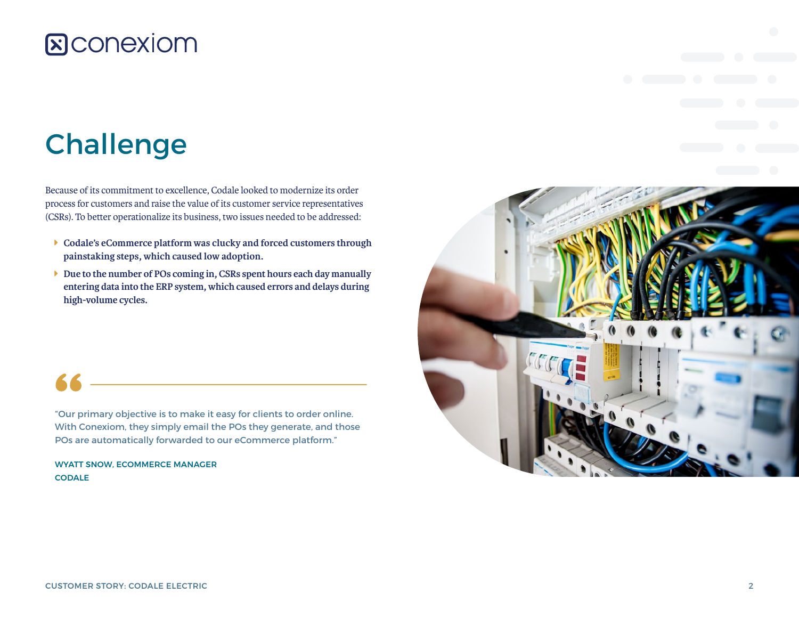### **&Conexiom**

## Challenge

Because of its commitment to excellence, Codale looked to modernize its order process for customers and raise the value of its customer service representatives (CSRs). To better operationalize its business, two issues needed to be addressed:

- **Example 2** Codale's eCommerce platform was clucky and forced customers through **painstaking steps, which caused low adoption.**
- **I** Due to the number of POs coming in, CSRs spent hours each day manually **entering data into the ERP system, which caused errors and delays during high-volume cycles.**

"Our primary objective is to make it easy for clients to order online. With Conexiom, they simply email the POs they generate, and those POs are automatically forwarded to our eCommerce platform."

WYATT SNOW, ECOMMERCE MANAGER **CODALE** 

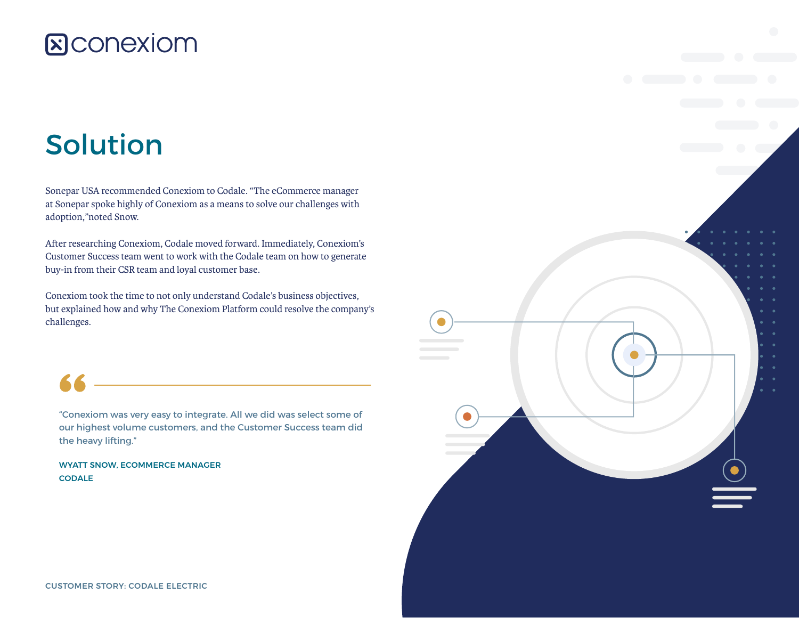### **&CONEXIOM**

## Solution

Sonepar USA recommended Conexiom to Codale. "The eCommerce manager at Sonepar spoke highly of Conexiom as a means to solve our challenges with adoption,"noted Snow.

After researching Conexiom, Codale moved forward. Immediately, Conexiom's Customer Success team went to work with the Codale team on how to generate buy-in from their CSR team and loyal customer base.

Conexiom took the time to not only understand Codale's business objectives, but explained how and why The Conexiom Platform could resolve the company's challenges.



"Conexiom was very easy to integrate. All we did was select some of our highest volume customers, and the Customer Success team did the heavy lifting."

WYATT SNOW, ECOMMERCE MANAGER **CODALE** 

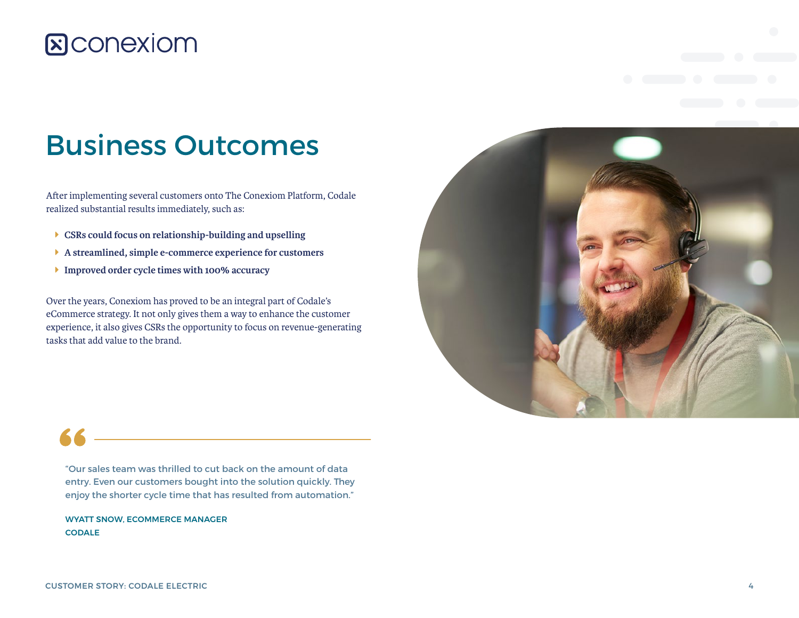### **&Conexiom**

## Business Outcomes

After implementing several customers onto The Conexiom Platform, Codale realized substantial results immediately, such as:

- Î **CSRs could focus on relationship-building and upselling**
- Î **A streamlined, simple e-commerce experience for customers**
- **Improved order cycle times with 100% accuracy**

Over the years, Conexiom has proved to be an integral part of Codale's eCommerce strategy. It not only gives them a way to enhance the customer experience, it also gives CSRs the opportunity to focus on revenue-generating tasks that add value to the brand.



"Our sales team was thrilled to cut back on the amount of data entry. Even our customers bought into the solution quickly. They enjoy the shorter cycle time that has resulted from automation."

WYATT SNOW, ECOMMERCE MANAGER **CODALE**